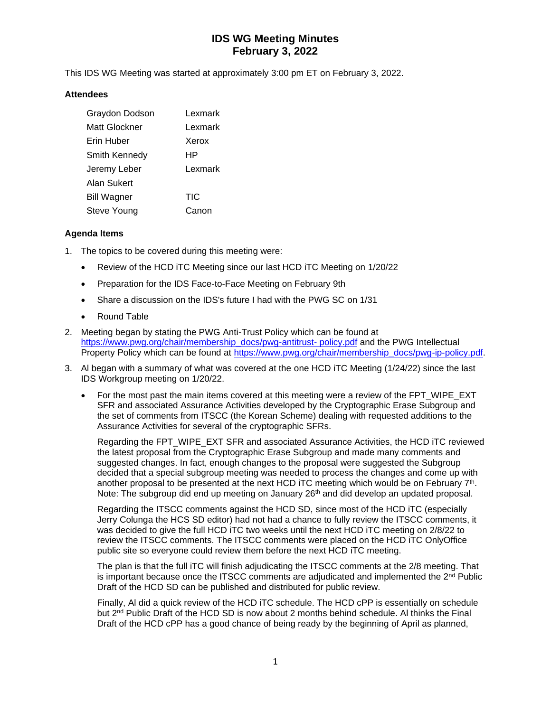# **IDS WG Meeting Minutes February 3, 2022**

This IDS WG Meeting was started at approximately 3:00 pm ET on February 3, 2022.

### **Attendees**

| Graydon Dodson     | Lexmark    |
|--------------------|------------|
| Matt Glockner      | Lexmark    |
| Erin Huber         | Xerox      |
| Smith Kennedy      | HP         |
| Jeremy Leber       | Lexmark    |
| Alan Sukert        |            |
| <b>Bill Wagner</b> | <b>TIC</b> |
| Steve Young        | Canon      |

### **Agenda Items**

- 1. The topics to be covered during this meeting were:
	- Review of the HCD iTC Meeting since our last HCD iTC Meeting on 1/20/22
	- Preparation for the IDS Face-to-Face Meeting on February 9th
	- Share a discussion on the IDS's future I had with the PWG SC on 1/31
	- Round Table
- 2. Meeting began by stating the PWG Anti-Trust Policy which can be found at [https://www.pwg.org/chair/membership\\_docs/pwg-antitrust-](https://www.pwg.org/chair/membership_docs/pwg-antitrust-%20policy.pdf) policy.pdf and the PWG Intellectual Property Policy which can be found at [https://www.pwg.org/chair/membership\\_docs/pwg-ip-policy.pdf.](https://www.pwg.org/chair/membership_docs/pwg-ip-policy.pdf)
- 3. Al began with a summary of what was covered at the one HCD iTC Meeting (1/24/22) since the last IDS Workgroup meeting on 1/20/22.
	- For the most past the main items covered at this meeting were a review of the FPT\_WIPE\_EXT SFR and associated Assurance Activities developed by the Cryptographic Erase Subgroup and the set of comments from ITSCC (the Korean Scheme) dealing with requested additions to the Assurance Activities for several of the cryptographic SFRs.

Regarding the FPT\_WIPE\_EXT SFR and associated Assurance Activities, the HCD ITC reviewed the latest proposal from the Cryptographic Erase Subgroup and made many comments and suggested changes. In fact, enough changes to the proposal were suggested the Subgroup decided that a special subgroup meeting was needed to process the changes and come up with another proposal to be presented at the next HCD iTC meeting which would be on February 7<sup>th</sup>. Note: The subgroup did end up meeting on January 26<sup>th</sup> and did develop an updated proposal.

Regarding the ITSCC comments against the HCD SD, since most of the HCD iTC (especially Jerry Colunga the HCS SD editor) had not had a chance to fully review the ITSCC comments, it was decided to give the full HCD iTC two weeks until the next HCD iTC meeting on 2/8/22 to review the ITSCC comments. The ITSCC comments were placed on the HCD iTC OnlyOffice public site so everyone could review them before the next HCD iTC meeting.

The plan is that the full iTC will finish adjudicating the ITSCC comments at the 2/8 meeting. That is important because once the ITSCC comments are adjudicated and implemented the  $2<sup>nd</sup>$  Public Draft of the HCD SD can be published and distributed for public review.

Finally, Al did a quick review of the HCD iTC schedule. The HCD cPP is essentially on schedule but 2<sup>nd</sup> Public Draft of the HCD SD is now about 2 months behind schedule. Al thinks the Final Draft of the HCD cPP has a good chance of being ready by the beginning of April as planned,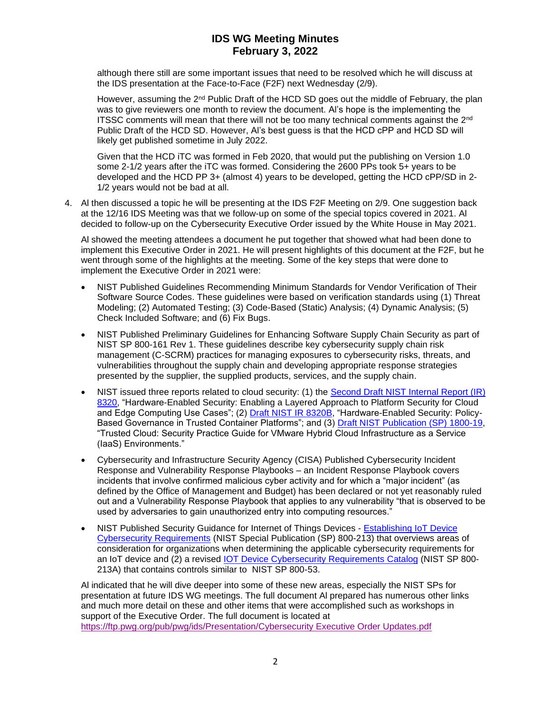## **IDS WG Meeting Minutes February 3, 2022**

although there still are some important issues that need to be resolved which he will discuss at the IDS presentation at the Face-to-Face (F2F) next Wednesday (2/9).

However, assuming the 2<sup>nd</sup> Public Draft of the HCD SD goes out the middle of February, the plan was to give reviewers one month to review the document. Al's hope is the implementing the ITSSC comments will mean that there will not be too many technical comments against the 2<sup>nd</sup> Public Draft of the HCD SD. However, Al's best guess is that the HCD cPP and HCD SD will likely get published sometime in July 2022.

Given that the HCD iTC was formed in Feb 2020, that would put the publishing on Version 1.0 some 2-1/2 years after the iTC was formed. Considering the 2600 PPs took 5+ years to be developed and the HCD PP 3+ (almost 4) years to be developed, getting the HCD cPP/SD in 2- 1/2 years would not be bad at all.

4. Al then discussed a topic he will be presenting at the IDS F2F Meeting on 2/9. One suggestion back at the 12/16 IDS Meeting was that we follow-up on some of the special topics covered in 2021. Al decided to follow-up on the Cybersecurity Executive Order issued by the White House in May 2021.

Al showed the meeting attendees a document he put together that showed what had been done to implement this Executive Order in 2021. He will present highlights of this document at the F2F, but he went through some of the highlights at the meeting. Some of the key steps that were done to implement the Executive Order in 2021 were:

- NIST Published Guidelines Recommending Minimum Standards for Vendor Verification of Their Software Source Codes. These guidelines were based on verification standards using (1) Threat Modeling; (2) Automated Testing; (3) Code-Based (Static) Analysis; (4) Dynamic Analysis; (5) Check Included Software; and (6) Fix Bugs.
- NIST Published Preliminary Guidelines for Enhancing Software Supply Chain Security as part of NIST SP 800-161 Rev 1. These guidelines describe key cybersecurity supply chain risk management (C-SCRM) practices for managing exposures to cybersecurity risks, threats, and vulnerabilities throughout the supply chain and developing appropriate response strategies presented by the supplier, the supplied products, services, and the supply chain.
- NIST issued three reports related to cloud security: (1) the Second Draft NIST Internal Report (IR) [8320,](https://nvlpubs.nist.gov/nistpubs/ir/2021/NIST.IR.8320-draft2.pdf) "Hardware-Enabled Security: Enabling a Layered Approach to Platform Security for Cloud and Edge Computing Use Cases"; (2) [Draft NIST IR 8320B,](https://nvlpubs.nist.gov/nistpubs/ir/2021/NIST.IR.8320B-draft.pdf) "Hardware-Enabled Security: Policy-Based Governance in Trusted Container Platforms"; and (3) [Draft NIST Publication \(SP\) 1800-19,](https://www.nccoe.nist.gov/sites/default/files/library/sp1800/tc-nist-sp1800-19-draft2.pdf) "Trusted Cloud: Security Practice Guide for VMware Hybrid Cloud Infrastructure as a Service (IaaS) Environments."
- Cybersecurity and Infrastructure Security Agency (CISA) Published Cybersecurity Incident Response and Vulnerability Response Playbooks – an Incident Response Playbook covers incidents that involve confirmed malicious cyber activity and for which a "major incident" (as defined by the Office of Management and Budget) has been declared or not yet reasonably ruled out and a Vulnerability Response Playbook that applies to any vulnerability "that is observed to be used by adversaries to gain unauthorized entry into computing resources."
- NIST Published Security Guidance for Internet of Things Devices [Establishing IoT Device](https://nvlpubs.nist.gov/nistpubs/SpecialPublications/NIST.SP.800-213.pdf)  [Cybersecurity Requirements](https://nvlpubs.nist.gov/nistpubs/SpecialPublications/NIST.SP.800-213.pdf) (NIST Special Publication (SP) 800-213) that overviews areas of consideration for organizations when determining the applicable cybersecurity requirements for an IoT device and (2) a revised [IOT Device Cybersecurity Requirements Catalog](https://nvlpubs.nist.gov/nistpubs/SpecialPublications/NIST.SP.800-213A.pdf) (NIST SP 800- 213A) that contains controls similar to NIST SP 800-53.

Al indicated that he will dive deeper into some of these new areas, especially the NIST SPs for presentation at future IDS WG meetings. The full document Al prepared has numerous other links and much more detail on these and other items that were accomplished such as workshops in support of the Executive Order. The full document is located at [https://ftp.pwg.org/pub/pwg/ids/Presentation/Cybersecurity Executive Order Updates.pdf](https://ftp.pwg.org/pub/pwg/ids/Presentation/Cybersecurity%20Executive%20Order%20Updates.pdf)